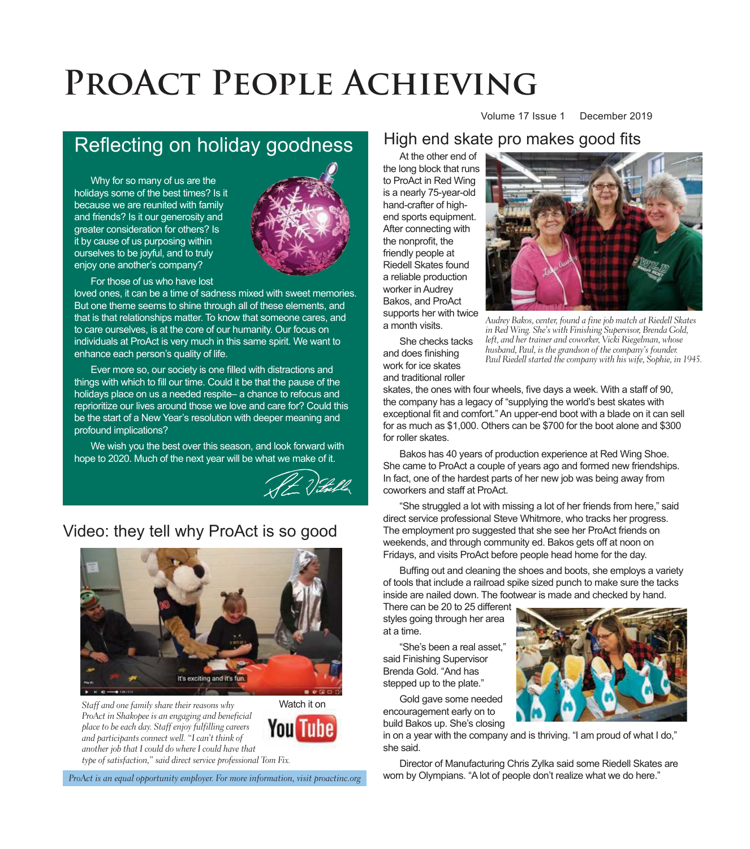# **ProAct People Achieving**

## Reflecting on holiday goodness

Why for so many of us are the holidays some of the best times? Is it because we are reunited with family and friends? Is it our generosity and greater consideration for others? Is it by cause of us purposing within ourselves to be joyful, and to truly enjoy one another's company?



For those of us who have lost

loved ones, it can be a time of sadness mixed with sweet memories. But one theme seems to shine through all of these elements, and that is that relationships matter. To know that someone cares, and to care ourselves, is at the core of our humanity. Our focus on individuals at ProAct is very much in this same spirit. We want to enhance each person's quality of life.

Ever more so, our society is one filled with distractions and things with which to fill our time. Could it be that the pause of the holidays place on us a needed respite – a chance to refocus and reprioritize our lives around those we love and care for? Could this be the start of a New Year's resolution with deeper meaning and profound implications?

We wish you the best over this season, and look forward with hope to 2020. Much of the next year will be what we make of it.



#### Video: they tell why ProAct is so good



Staff and one family share their reasons why ProAct in Shakopee is an engaging and beneficial place to be each day. Staff enjoy fulfilling careers and participants connect well. "I can't think of another job that I could do where I could have that



type of satisfaction," said direct service professional Tom Fix.

#### At the other end of High end skate pro makes good fits

the long block that runs to ProAct in Red Wing is a nearly 75-year-old hand-crafter of highend sports equipment. After connecting with the nonprofit, the friendly people at Riedell Skates found a reliable production worker in Audrey Bakos, and ProAct supports her with twice a month visits.



Volume 17 Issue 1 December 2019

Audrey Bakos, center, found a fine job match at Riedell Skates in Red Wing. She's with Finishing Supervisor, Brenda Gold, left, and her trainer and coworker, Vicki Riegelman, whose husband, Paul, is the grandson of the company's founder. Paul Riedell started the company with his wife, Sophie, in 1945.

She checks tacks and does finishing work for ice skates and traditional roller

skates, the ones with four wheels, five days a week. With a staff of 90, the company has a legacy of "supplying the world's best skates with exceptional fit and comfort." An upper-end boot with a blade on it can sell for as much as \$1,000. Others can be \$700 for the boot alone and \$300 for roller skates.

Bakos has 40 years of production experience at Red Wing Shoe. She came to ProAct a couple of years ago and formed new friendships. In fact, one of the hardest parts of her new job was being away from coworkers and staff at ProAct.

"She struggled a lot with missing a lot of her friends from here," said direct service professional Steve Whitmore, who tracks her progress. The employment pro suggested that she see her ProAct friends on weekends, and through community ed. Bakos gets off at noon on Fridays, and visits ProAct before people head home for the day.

Buffing out and cleaning the shoes and boots, she employs a variety of tools that include a railroad spike sized punch to make sure the tacks inside are nailed down. The footwear is made and checked by hand.

There can be 20 to 25 different styles going through her area at a time.

"She's been a real asset." said Finishing Supervisor Brenda Gold. "And has stepped up to the plate."

Gold gave some needed encouragement early on to build Bakos up. She's closing

in on a year with the company and is thriving. "I am proud of what I do," she said.

Director of Manufacturing Chris Zylka said some Riedell Skates are worn by Olympians. "A lot of people don't realize what we do here."

ProAct is an equal opportunity employer. For more information, visit proactinc.org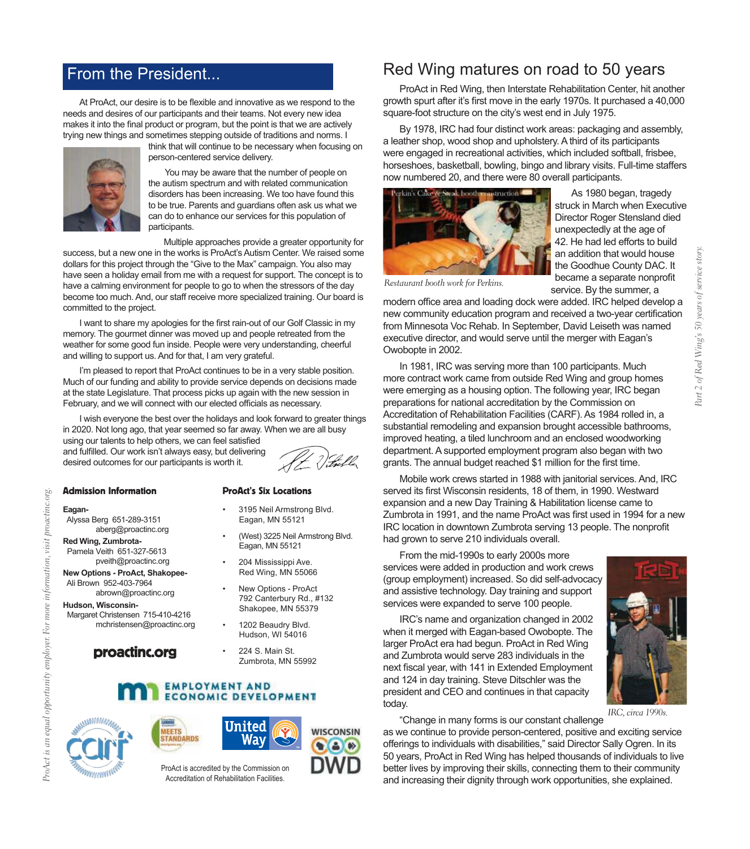### From the President...

At ProAct, our desire is to be flexible and innovative as we respond to the needs and desires of our participants and their teams. Not every new idea makes it into the final product or program, but the point is that we are actively trying new things and sometimes stepping outside of traditions and norms. I



think that will continue to be necessary when focusing on person-centered service delivery.

You may be aware that the number of people on the autism spectrum and with related communication disorders has been increasing. We too have found this to be true. Parents and guardians often ask us what we can do to enhance our services for this population of participants.

Multiple approaches provide a greater opportunity for

success, but a new one in the works is ProAct's Autism Center. We raised some dollars for this project through the "Give to the Max" campaign. You also may have seen a holiday email from me with a request for support. The concept is to have a calming environment for people to go to when the stressors of the day become too much. And, our staff receive more specialized training. Our board is committed to the project.

I want to share my apologies for the first rain-out of our Golf Classic in my memory. The gourmet dinner was moved up and people retreated from the weather for some good fun inside. People were very understanding, cheerful and willing to support us. And for that, I am very grateful.

I'm pleased to report that ProAct continues to be in a very stable position. Much of our funding and ability to provide service depends on decisions made at the state Legislature. That process picks up again with the new session in February, and we will connect with our elected officials as necessary.

I wish everyone the best over the holidays and look forward to greater things in 2020. Not long ago, that year seemed so far away. When we are all busy

using our talents to help others, we can feel satisfied and fulfilled. Our work isn't always easy, but delivering desired outcomes for our participants is worth it.



#### Admission Information

#### **Eagan-**

 Alyssa Berg 651-289-3151 aberg@proactinc.org

**Red Wing, Zumbrota-** Pamela Veith 651-327-5613 pveith@proactinc.org

**New Options - ProAct, Shakopee-** Ali Brown 952-403-7964 abrown@proactinc.org

**Hudson, Wisconsin-**

 Margaret Christensen 715-410-4216 mchristensen@proactinc.org

proactinc.org

#### ProAct's Six Locations

- 3195 Neil Armstrong Blvd. Eagan, MN 55121
- (West) 3225 Neil Armstrong Blvd. Eagan, MN 55121
- 204 Mississippi Ave. Red Wing, MN 55066
- New Options ProAct 792 Canterbury Rd., #132 Shakopee, MN 55379
- 1202 Beaudry Blvd. Hudson, WI 54016
- 224 S. Main St. Zumbrota, MN 55992

#### **EMPLOYMENT AND ECONOMIC DEVELOPMENT**







ProAct is accredited by the Commission on Accreditation of Rehabilitation Facilities.

#### Red Wing matures on road to 50 years

ProAct in Red Wing, then Interstate Rehabilitation Center, hit another growth spurt after it's first move in the early 1970s. It purchased a 40,000 square-foot structure on the city's west end in July 1975.

By 1978, IRC had four distinct work areas: packaging and assembly, a leather shop, wood shop and upholstery. A third of its participants were engaged in recreational activities, which included softball, frisbee, horseshoes, basketball, bowling, bingo and library visits. Full-time staffers now numbered 20, and there were 80 overall participants.



As 1980 began, tragedy struck in March when Executive Director Roger Stensland died unexpectedly at the age of 42. He had led efforts to build an addition that would house the Goodhue County DAC. It became a separate nonprofit service. By the summer, a

Restaurant booth work for Perkins.

modern office area and loading dock were added. IRC helped develop a new community education program and received a two-year certification from Minnesota Voc Rehab. In September, David Leiseth was named executive director, and would serve until the merger with Eagan's Owobopte in 2002.

In 1981, IRC was serving more than 100 participants. Much more contract work came from outside Red Wing and group homes were emerging as a housing option. The following year, IRC began preparations for national accreditation by the Commission on Accreditation of Rehabilitation Facilities (CARF). As 1984 rolled in, a substantial remodeling and expansion brought accessible bathrooms, improved heating, a tiled lunchroom and an enclosed woodworking department. A supported employment program also began with two grants. The annual budget reached \$1 million for the first time.

Mobile work crews started in 1988 with janitorial services. And, IRC served its first Wisconsin residents, 18 of them, in 1990. Westward expansion and a new Day Training & Habilitation license came to Zumbrota in 1991, and the name ProAct was first used in 1994 for a new IRC location in downtown Zumbrota serving 13 people. The nonprofit had grown to serve 210 individuals overall.

From the mid-1990s to early 2000s more services were added in production and work crews (group employment) increased. So did self-advocacy and assistive technology. Day training and support services were expanded to serve 100 people.

IRC's name and organization changed in 2002 when it merged with Eagan-based Owobopte. The larger ProAct era had begun. ProAct in Red Wing and Zumbrota would serve 283 individuals in the next fiscal year, with 141 in Extended Employment and 124 in day training. Steve Ditschler was the president and CEO and continues in that capacity today.



IRC, circa 1990s.

"Change in many forms is our constant challenge as we continue to provide person-centered, positive and exciting service offerings to individuals with disabilities," said Director Sally Ogren. In its 50 years, ProAct in Red Wing has helped thousands of individuals to live better lives by improving their skills, connecting them to their community and increasing their dignity through work opportunities, she explained.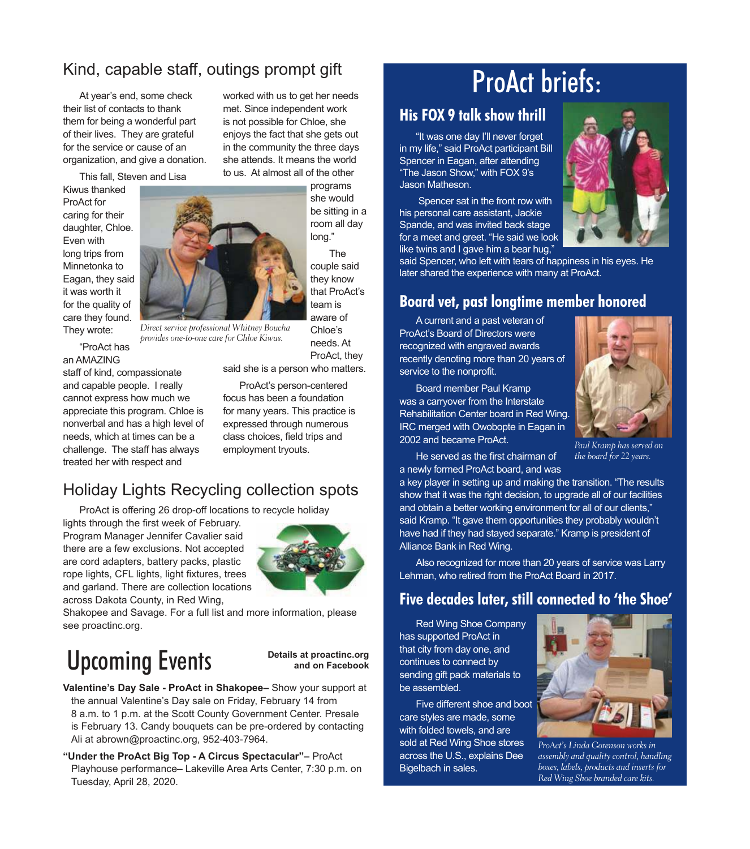### Kind, capable staff, outings prompt gift

At year's end, some check their list of contacts to thank them for being a wonderful part of their lives. They are grateful for the service or cause of an organization, and give a donation.

This fall, Steven and Lisa

Kiwus thanked ProAct for caring for their daughter, Chloe. Even with long trips from Minnetonka to Eagan, they said it was worth it for the quality of care they found. They wrote:



Direct service professional Whitney Boucha provides one-to-one care for Chloe Kiwus.

"ProAct has an AMAZING

staff of kind, compassionate and capable people. I really cannot express how much we appreciate this program. Chloe is nonverbal and has a high level of needs, which at times can be a challenge. The staff has always treated her with respect and

she attends. It means the world to us. At almost all of the other programs she would be sitting in a room all day long."

worked with us to get her needs met. Since independent work is not possible for Chloe, she enjoys the fact that she gets out in the community the three days

> The couple said they know that ProAct's team is aware of

Chloe's needs. At ProAct, they

said she is a person who matters.

ProAct's person-centered focus has been a foundation for many years. This practice is expressed through numerous class choices, field trips and employment tryouts.

### Holiday Lights Recycling collection spots

ProAct is offering 26 drop-off locations to recycle holiday

lights through the first week of February. Program Manager Jennifer Cavalier said there are a few exclusions. Not accepted are cord adapters, battery packs, plastic rope lights, CFL lights, light fixtures, trees and garland. There are collection locations across Dakota County, in Red Wing,



Shakopee and Savage. For a full list and more information, please see proactinc.org.

## Upcoming Events

**Details at proactinc.org and on Facebook**

**Valentine's Day Sale - ProAct in Shakopee–** Show your support at the annual Valentine's Day sale on Friday, February 14 from 8 a.m. to 1 p.m. at the Scott County Government Center. Presale is February 13. Candy bouquets can be pre-ordered by contacting Ali at abrown@proactinc.org, 952-403-7964.

**"Under the ProAct Big Top - A Circus Spectacular"–** ProAct Playhouse performance– Lakeville Area Arts Center, 7:30 p.m. on Tuesday, April 28, 2020.

## ProAct briefs:

#### **His FOX 9 talk show thrill**

"It was one day I'll never forget in my life," said ProAct participant Bill Spencer in Eagan, after attending "The Jason Show," with FOX 9's Jason Matheson.

 Spencer sat in the front row with his personal care assistant, Jackie Spande, and was invited back stage for a meet and greet. "He said we look like twins and I gave him a bear hug,'



said Spencer, who left with tears of happiness in his eyes. He later shared the experience with many at ProAct.

#### **Board vet, past longtime member honored**

A current and a past veteran of ProAct's Board of Directors were recognized with engraved awards recently denoting more than 20 years of service to the nonprofit.





Paul Kramp has served on the board for 22 years.

He served as the first chairman of a newly formed ProAct board, and was

a key player in setting up and making the transition. "The results show that it was the right decision, to upgrade all of our facilities and obtain a better working environment for all of our clients," said Kramp. "It gave them opportunities they probably wouldn't have had if they had stayed separate." Kramp is president of Alliance Bank in Red Wing.

Also recognized for more than 20 years of service was Larry Lehman, who retired from the ProAct Board in 2017.

#### **Five decades later, still connected to 'the Shoe'**

Red Wing Shoe Company has supported ProAct in that city from day one, and continues to connect by sending gift pack materials to be assembled.

Five different shoe and boot care styles are made, some with folded towels, and are sold at Red Wing Shoe stores across the U.S., explains Dee Bigelbach in sales.



ProAct's Linda Gorenson works in assembly and quality control, handling boxes, labels, products and inserts for Red Wing Shoe branded care kits.